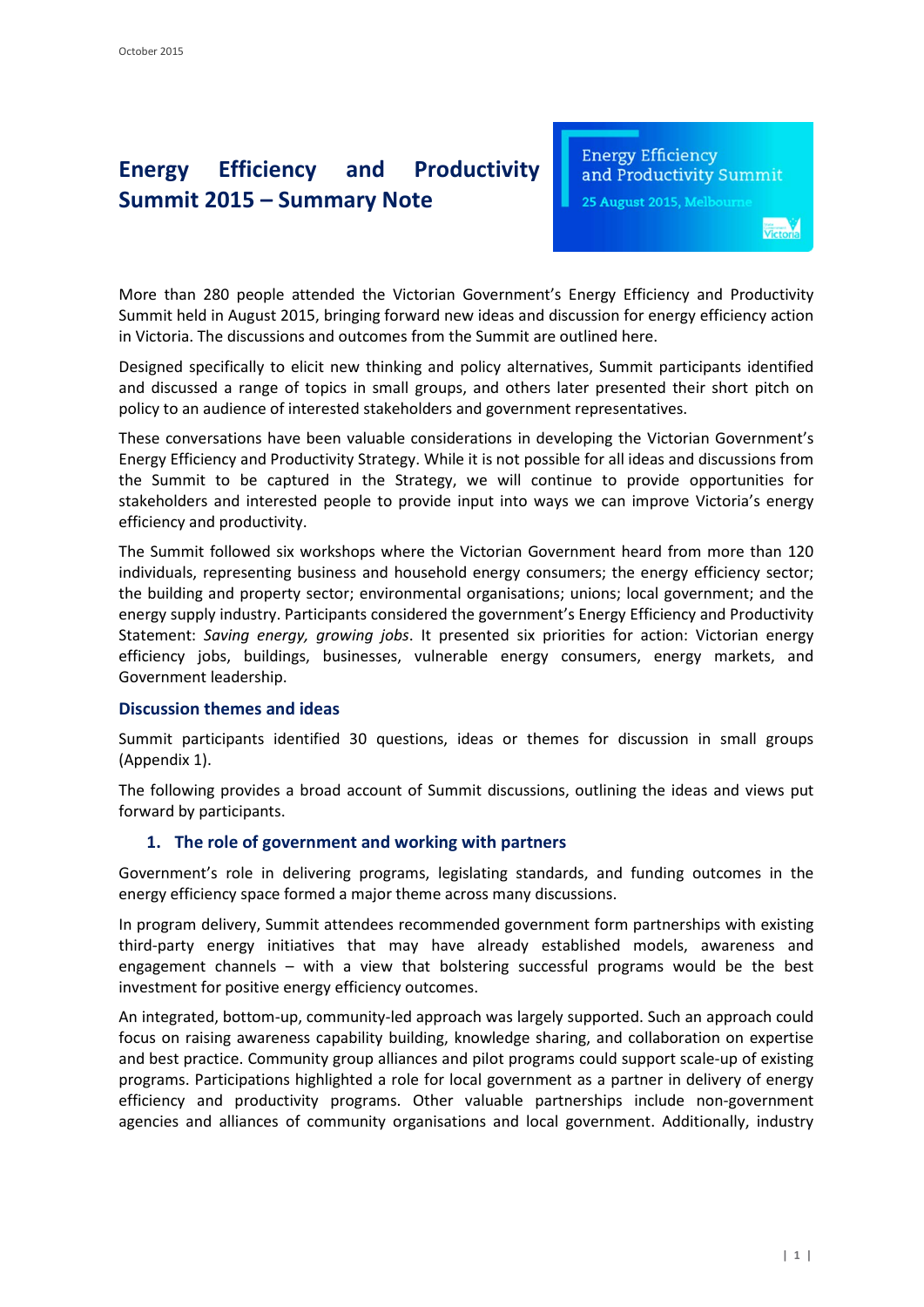# **Energy Efficiency and Productivity Summit 2015 – Summary Note**

**Energy Efficiency** and Productivity Summit

25 August 2015, Melbourne

More than 280 people attended the Victorian Government's Energy Efficiency and Productivity Summit held in August 2015, bringing forward new ideas and discussion for energy efficiency action in Victoria. The discussions and outcomes from the Summit are outlined here.

Designed specifically to elicit new thinking and policy alternatives, Summit participants identified and discussed a range of topics in small groups, and others later presented their short pitch on policy to an audience of interested stakeholders and government representatives.

These conversations have been valuable considerations in developing the Victorian Government's Energy Efficiency and Productivity Strategy. While it is not possible for all ideas and discussions from the Summit to be captured in the Strategy, we will continue to provide opportunities for stakeholders and interested people to provide input into ways we can improve Victoria's energy efficiency and productivity.

The Summit followed six workshops where the Victorian Government heard from more than 120 individuals, representing business and household energy consumers; the energy efficiency sector; the building and property sector; environmental organisations; unions; local government; and the energy supply industry. Participants considered the government's Energy Efficiency and Productivity Statement: *Saving energy, growing jobs*. It presented six priorities for action: Victorian energy efficiency jobs, buildings, businesses, vulnerable energy consumers, energy markets, and Government leadership.

### **Discussion themes and ideas**

Summit participants identified 30 questions, ideas or themes for discussion in small groups (Appendix 1).

The following provides a broad account of Summit discussions, outlining the ideas and views put forward by participants.

### **1. The role of government and working with partners**

Government's role in delivering programs, legislating standards, and funding outcomes in the energy efficiency space formed a major theme across many discussions.

In program delivery, Summit attendees recommended government form partnerships with existing third-party energy initiatives that may have already established models, awareness and engagement channels – with a view that bolstering successful programs would be the best investment for positive energy efficiency outcomes.

An integrated, bottom-up, community-led approach was largely supported. Such an approach could focus on raising awareness capability building, knowledge sharing, and collaboration on expertise and best practice. Community group alliances and pilot programs could support scale-up of existing programs. Participations highlighted a role for local government as a partner in delivery of energy efficiency and productivity programs. Other valuable partnerships include non-government agencies and alliances of community organisations and local government. Additionally, industry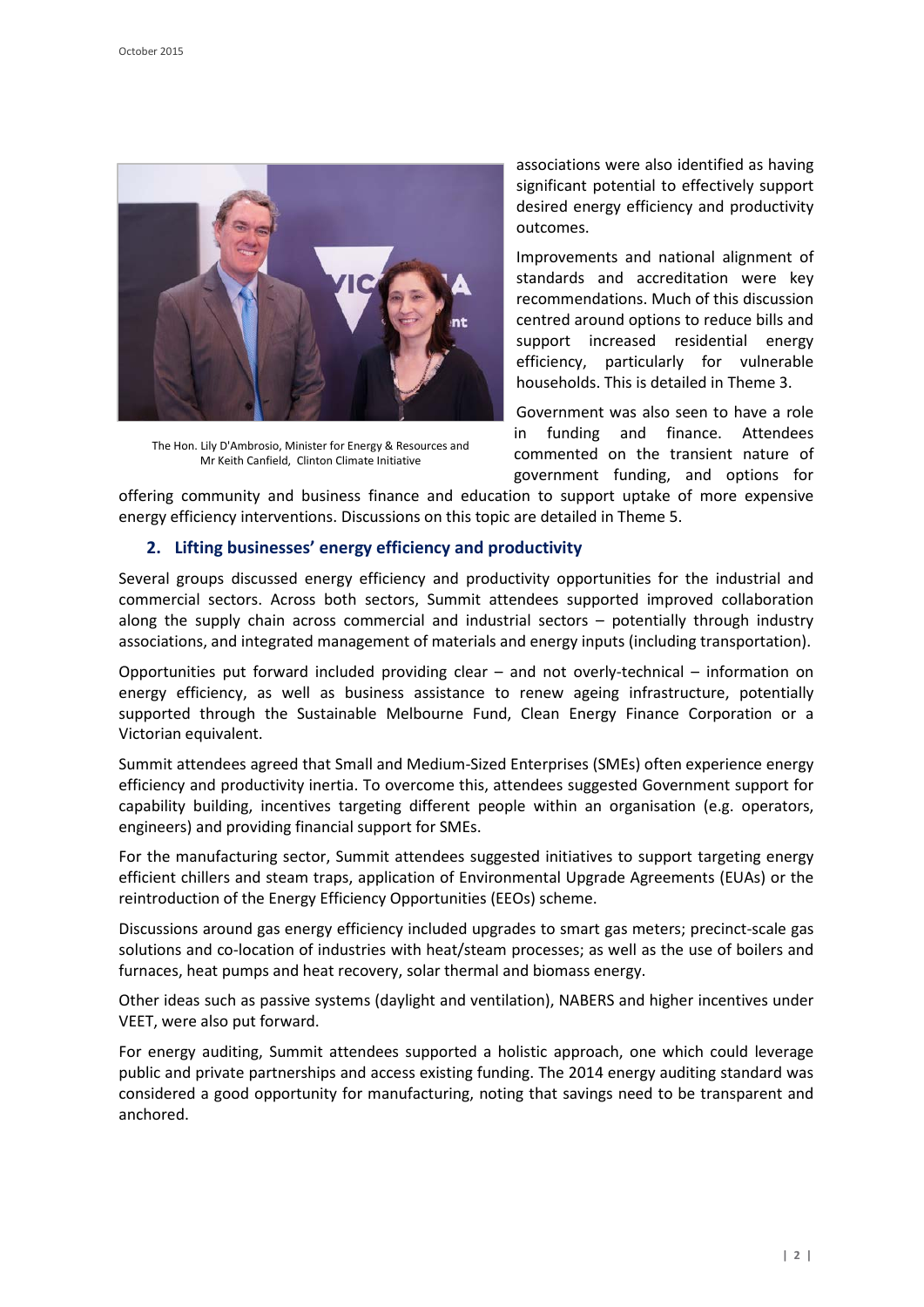

The Hon. Lily D'Ambrosio, Minister for Energy & Resources and Mr Keith Canfield, Clinton Climate Initiative

associations were also identified as having significant potential to effectively support desired energy efficiency and productivity outcomes.

Improvements and national alignment of standards and accreditation were key recommendations. Much of this discussion centred around options to reduce bills and support increased residential energy efficiency, particularly for vulnerable households. This is detailed in Theme 3.

Government was also seen to have a role in funding and finance. Attendees commented on the transient nature of government funding, and options for

offering community and business finance and education to support uptake of more expensive energy efficiency interventions. Discussions on this topic are detailed in Theme 5.

## **2. Lifting businesses' energy efficiency and productivity**

Several groups discussed energy efficiency and productivity opportunities for the industrial and commercial sectors. Across both sectors, Summit attendees supported improved collaboration along the supply chain across commercial and industrial sectors – potentially through industry associations, and integrated management of materials and energy inputs (including transportation).

Opportunities put forward included providing clear – and not overly-technical – information on energy efficiency, as well as business assistance to renew ageing infrastructure, potentially supported through the Sustainable Melbourne Fund, Clean Energy Finance Corporation or a Victorian equivalent.

Summit attendees agreed that Small and Medium-Sized Enterprises (SMEs) often experience energy efficiency and productivity inertia. To overcome this, attendees suggested Government support for capability building, incentives targeting different people within an organisation (e.g. operators, engineers) and providing financial support for SMEs.

For the manufacturing sector, Summit attendees suggested initiatives to support targeting energy efficient chillers and steam traps, application of Environmental Upgrade Agreements (EUAs) or the reintroduction of the Energy Efficiency Opportunities (EEOs) scheme.

Discussions around gas energy efficiency included upgrades to smart gas meters; precinct-scale gas solutions and co-location of industries with heat/steam processes; as well as the use of boilers and furnaces, heat pumps and heat recovery, solar thermal and biomass energy.

Other ideas such as passive systems (daylight and ventilation), NABERS and higher incentives under VEET, were also put forward.

For energy auditing, Summit attendees supported a holistic approach, one which could leverage public and private partnerships and access existing funding. The 2014 energy auditing standard was considered a good opportunity for manufacturing, noting that savings need to be transparent and anchored.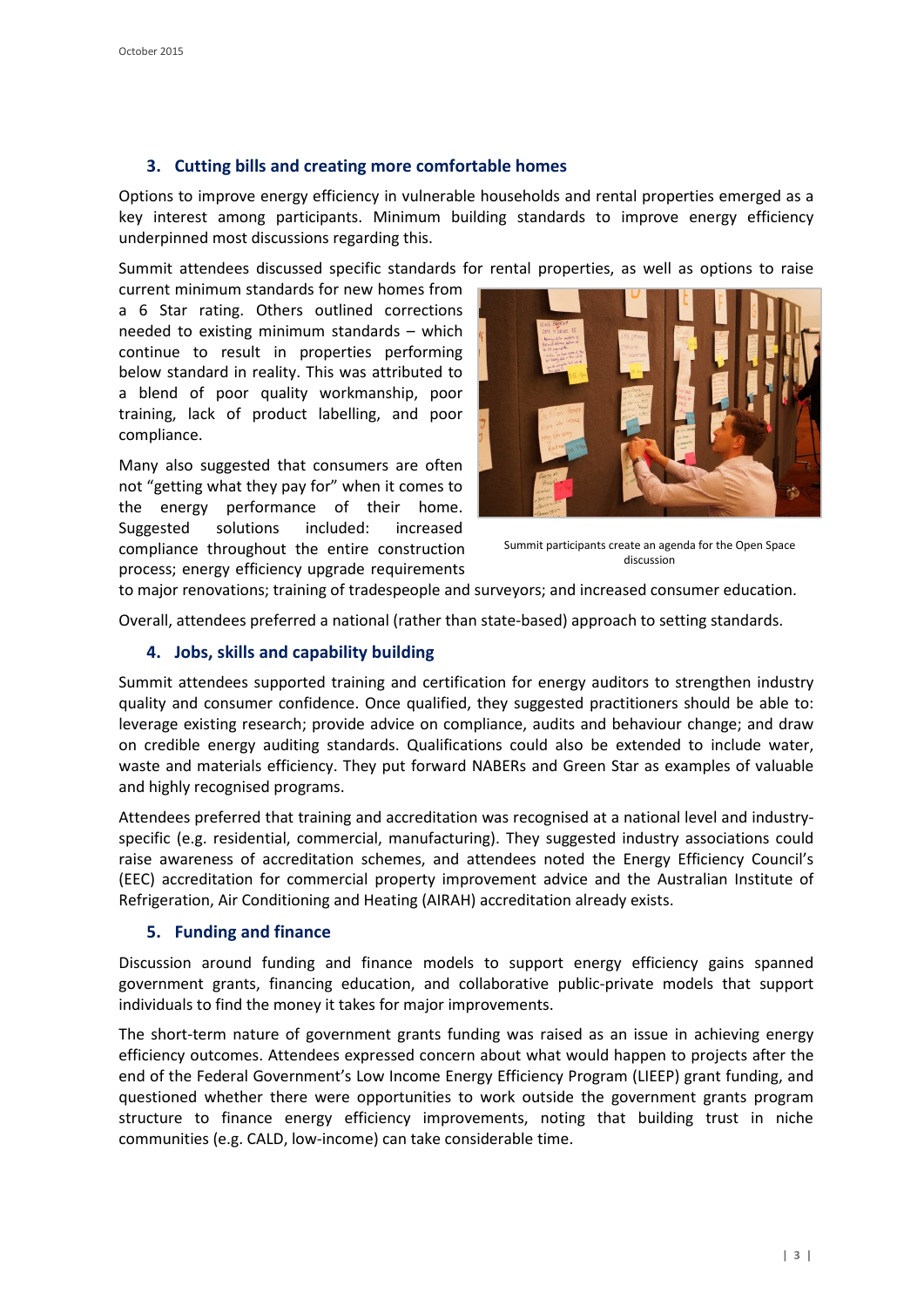## **3. Cutting bills and creating more comfortable homes**

Options to improve energy efficiency in vulnerable households and rental properties emerged as a key interest among participants. Minimum building standards to improve energy efficiency underpinned most discussions regarding this.

Summit attendees discussed specific standards for rental properties, as well as options to raise

current minimum standards for new homes from a 6 Star rating. Others outlined corrections needed to existing minimum standards – which continue to result in properties performing below standard in reality. This was attributed to a blend of poor quality workmanship, poor training, lack of product labelling, and poor compliance.

Many also suggested that consumers are often not "getting what they pay for" when it comes to the energy performance of their home. Suggested solutions included: increased compliance throughout the entire construction process; energy efficiency upgrade requirements



Summit participants create an agenda for the Open Space discussion

to major renovations; training of tradespeople and surveyors; and increased consumer education.

Overall, attendees preferred a national (rather than state-based) approach to setting standards.

## **4. Jobs, skills and capability building**

Summit attendees supported training and certification for energy auditors to strengthen industry quality and consumer confidence. Once qualified, they suggested practitioners should be able to: leverage existing research; provide advice on compliance, audits and behaviour change; and draw on credible energy auditing standards. Qualifications could also be extended to include water, waste and materials efficiency. They put forward NABERs and Green Star as examples of valuable and highly recognised programs.

Attendees preferred that training and accreditation was recognised at a national level and industryspecific (e.g. residential, commercial, manufacturing). They suggested industry associations could raise awareness of accreditation schemes, and attendees noted the Energy Efficiency Council's (EEC) accreditation for commercial property improvement advice and the Australian Institute of Refrigeration, Air Conditioning and Heating (AIRAH) accreditation already exists.

### **5. Funding and finance**

Discussion around funding and finance models to support energy efficiency gains spanned government grants, financing education, and collaborative public-private models that support individuals to find the money it takes for major improvements.

The short-term nature of government grants funding was raised as an issue in achieving energy efficiency outcomes. Attendees expressed concern about what would happen to projects after the end of the Federal Government's Low Income Energy Efficiency Program (LIEEP) grant funding, and questioned whether there were opportunities to work outside the government grants program structure to finance energy efficiency improvements, noting that building trust in niche communities (e.g. CALD, low-income) can take considerable time.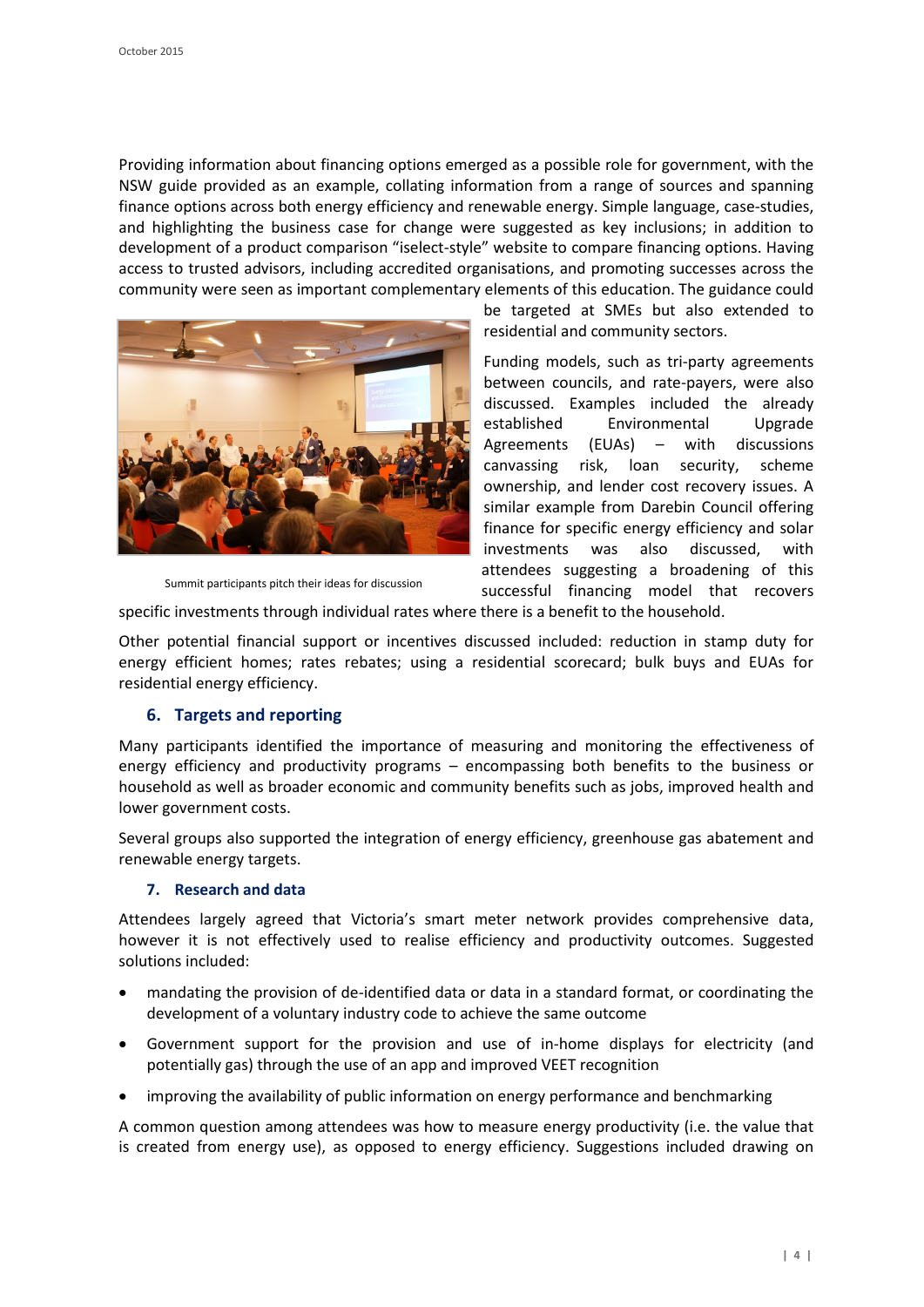Providing information about financing options emerged as a possible role for government, with the NSW guide provided as an example, collating information from a range of sources and spanning finance options across both energy efficiency and renewable energy. Simple language, case-studies, and highlighting the business case for change were suggested as key inclusions; in addition to development of a product comparison "iselect-style" website to compare financing options. Having access to trusted advisors, including accredited organisations, and promoting successes across the community were seen as important complementary elements of this education. The guidance could



Summit participants pitch their ideas for discussion

be targeted at SMEs but also extended to residential and community sectors.

Funding models, such as tri-party agreements between councils, and rate-payers, were also discussed. Examples included the already established Environmental Upgrade Agreements (EUAs) – with discussions canvassing risk, loan security, scheme ownership, and lender cost recovery issues. A similar example from Darebin Council offering finance for specific energy efficiency and solar investments was also discussed, with attendees suggesting a broadening of this successful financing model that recovers

specific investments through individual rates where there is a benefit to the household.

Other potential financial support or incentives discussed included: reduction in stamp duty for energy efficient homes; rates rebates; using a residential scorecard; bulk buys and EUAs for residential energy efficiency.

### **6. Targets and reporting**

Many participants identified the importance of measuring and monitoring the effectiveness of energy efficiency and productivity programs – encompassing both benefits to the business or household as well as broader economic and community benefits such as jobs, improved health and lower government costs.

Several groups also supported the integration of energy efficiency, greenhouse gas abatement and renewable energy targets.

#### **7. Research and data**

Attendees largely agreed that Victoria's smart meter network provides comprehensive data, however it is not effectively used to realise efficiency and productivity outcomes. Suggested solutions included:

- mandating the provision of de-identified data or data in a standard format, or coordinating the development of a voluntary industry code to achieve the same outcome
- Government support for the provision and use of in-home displays for electricity (and potentially gas) through the use of an app and improved VEET recognition
- improving the availability of public information on energy performance and benchmarking

A common question among attendees was how to measure energy productivity (i.e. the value that is created from energy use), as opposed to energy efficiency. Suggestions included drawing on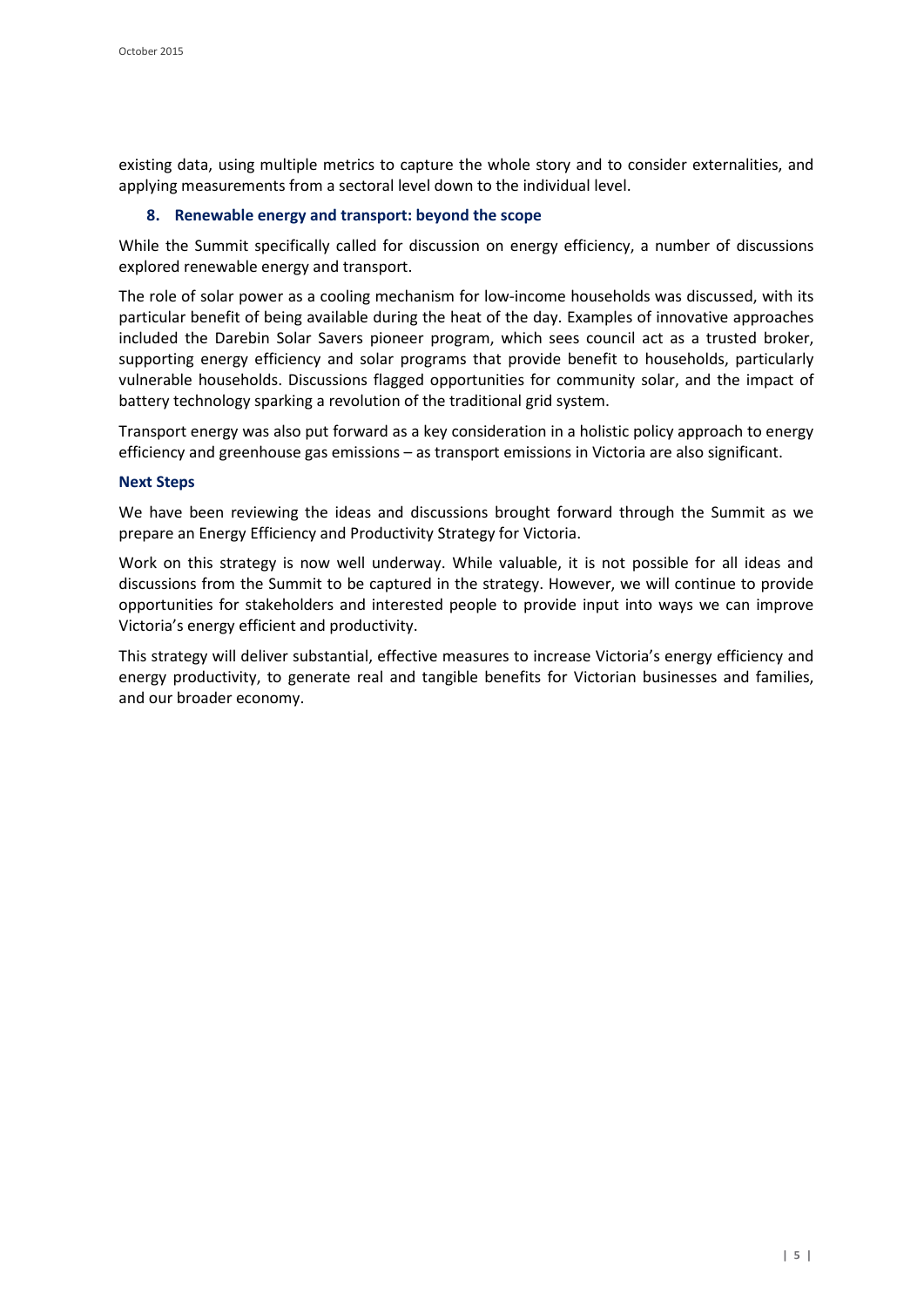existing data, using multiple metrics to capture the whole story and to consider externalities, and applying measurements from a sectoral level down to the individual level.

#### **8. Renewable energy and transport: beyond the scope**

While the Summit specifically called for discussion on energy efficiency, a number of discussions explored renewable energy and transport.

The role of solar power as a cooling mechanism for low-income households was discussed, with its particular benefit of being available during the heat of the day. Examples of innovative approaches included the Darebin Solar Savers pioneer program, which sees council act as a trusted broker, supporting energy efficiency and solar programs that provide benefit to households, particularly vulnerable households. Discussions flagged opportunities for community solar, and the impact of battery technology sparking a revolution of the traditional grid system.

Transport energy was also put forward as a key consideration in a holistic policy approach to energy efficiency and greenhouse gas emissions – as transport emissions in Victoria are also significant.

#### **Next Steps**

We have been reviewing the ideas and discussions brought forward through the Summit as we prepare an Energy Efficiency and Productivity Strategy for Victoria.

Work on this strategy is now well underway. While valuable, it is not possible for all ideas and discussions from the Summit to be captured in the strategy. However, we will continue to provide opportunities for stakeholders and interested people to provide input into ways we can improve Victoria's energy efficient and productivity.

This strategy will deliver substantial, effective measures to increase Victoria's energy efficiency and energy productivity, to generate real and tangible benefits for Victorian businesses and families, and our broader economy.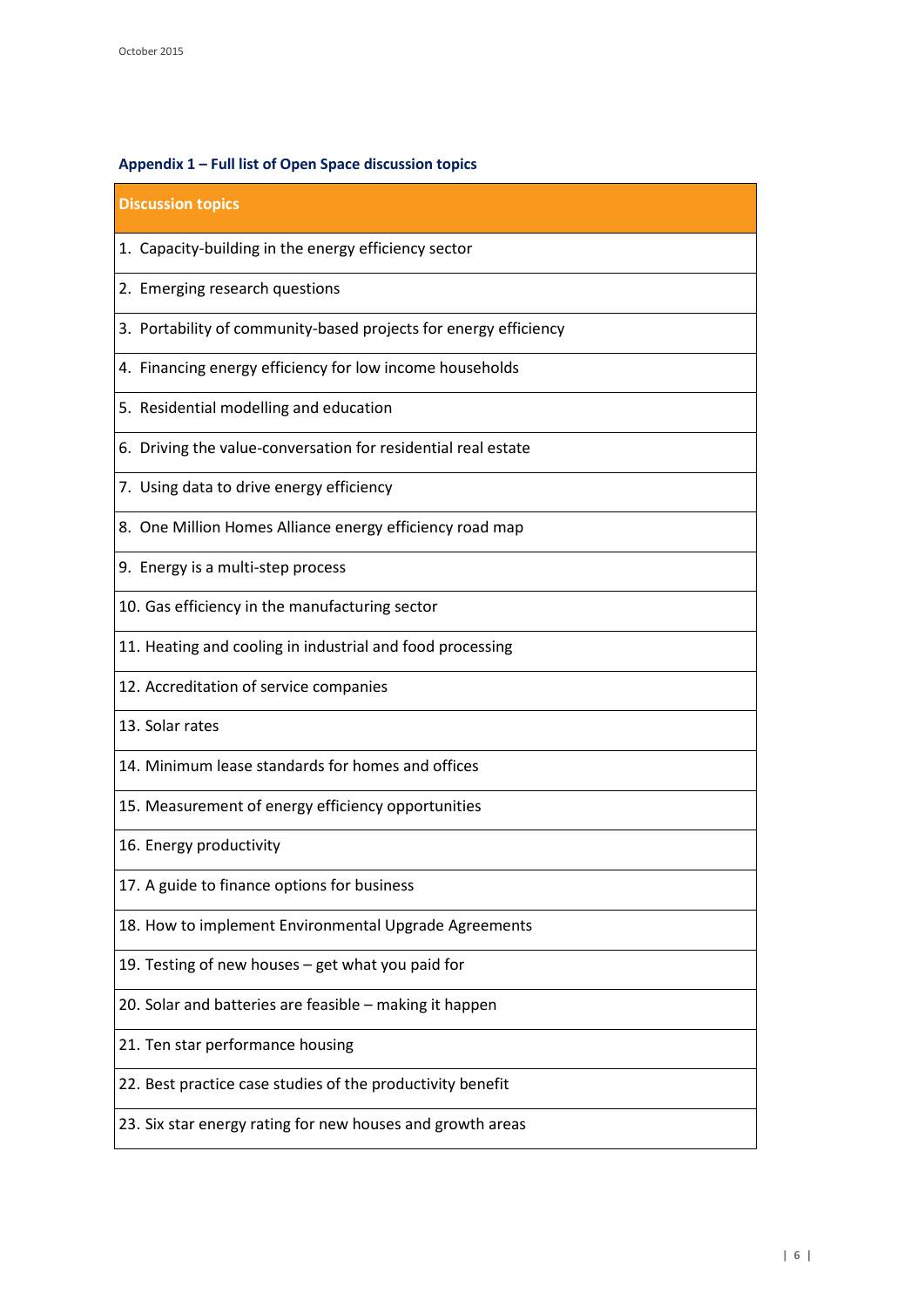# **Appendix 1 – Full list of Open Space discussion topics**

| <b>Discussion topics</b>                                         |
|------------------------------------------------------------------|
| 1. Capacity-building in the energy efficiency sector             |
| 2. Emerging research questions                                   |
| 3. Portability of community-based projects for energy efficiency |
| 4. Financing energy efficiency for low income households         |
| 5. Residential modelling and education                           |
| 6. Driving the value-conversation for residential real estate    |
| 7. Using data to drive energy efficiency                         |
| 8. One Million Homes Alliance energy efficiency road map         |
| 9. Energy is a multi-step process                                |
| 10. Gas efficiency in the manufacturing sector                   |
| 11. Heating and cooling in industrial and food processing        |
| 12. Accreditation of service companies                           |
| 13. Solar rates                                                  |
| 14. Minimum lease standards for homes and offices                |
| 15. Measurement of energy efficiency opportunities               |
| 16. Energy productivity                                          |
| 17. A guide to finance options for business                      |
| 18. How to implement Environmental Upgrade Agreements            |
| 19. Testing of new houses - get what you paid for                |
| 20. Solar and batteries are feasible - making it happen          |
| 21. Ten star performance housing                                 |
| 22. Best practice case studies of the productivity benefit       |
| 23. Six star energy rating for new houses and growth areas       |